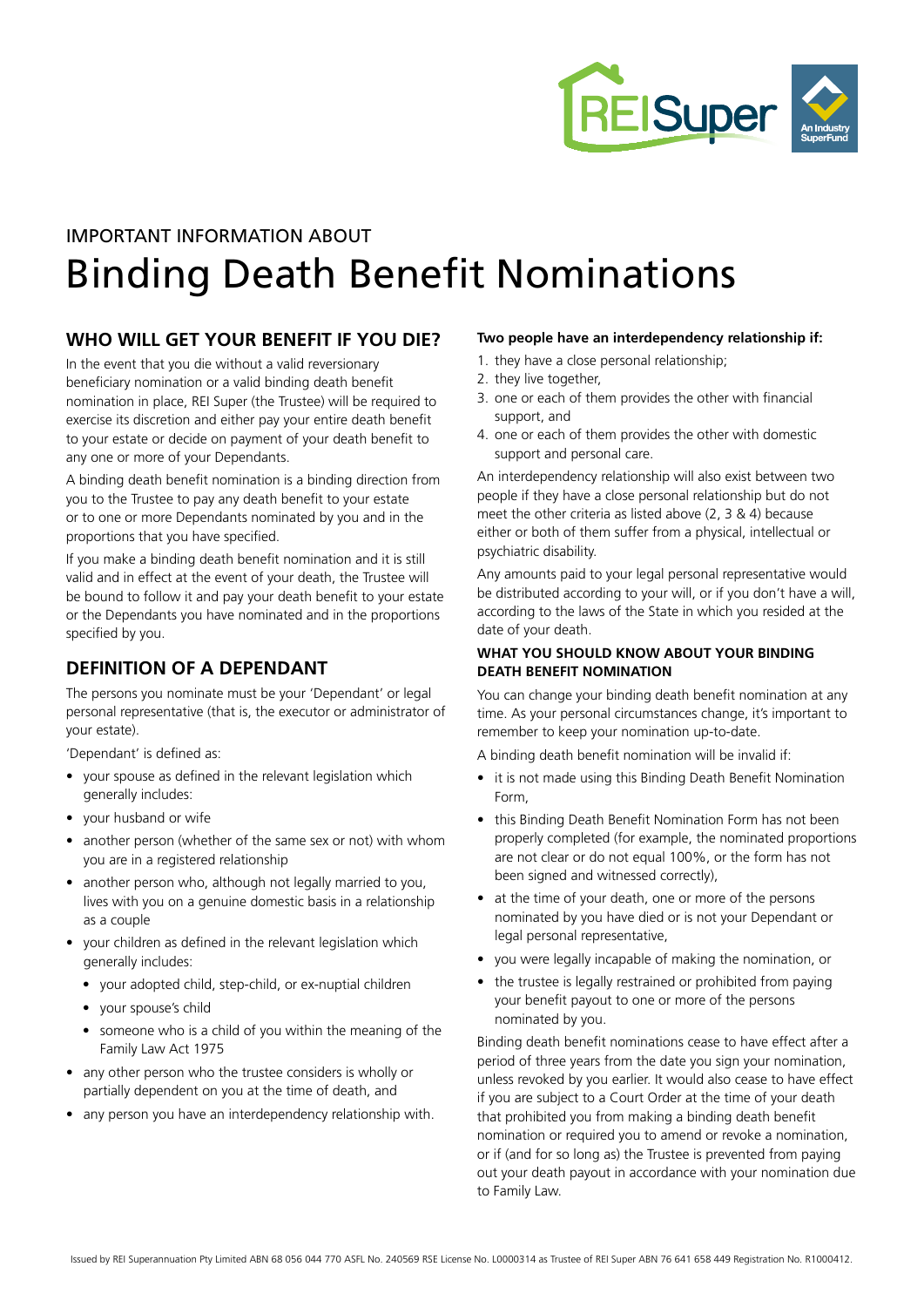

# IMPORTANT INFORMATION ABOUT Binding Death Benefit Nominations

### **WHO WILL GET YOUR BENEFIT IF YOU DIE?**

In the event that you die without a valid reversionary beneficiary nomination or a valid binding death benefit nomination in place, REI Super (the Trustee) will be required to exercise its discretion and either pay your entire death benefit to your estate or decide on payment of your death benefit to any one or more of your Dependants.

A binding death benefit nomination is a binding direction from you to the Trustee to pay any death benefit to your estate or to one or more Dependants nominated by you and in the proportions that you have specified.

If you make a binding death benefit nomination and it is still valid and in effect at the event of your death, the Trustee will be bound to follow it and pay your death benefit to your estate or the Dependants you have nominated and in the proportions specified by you.

### **DEFINITION OF A DEPENDANT**

The persons you nominate must be your 'Dependant' or legal personal representative (that is, the executor or administrator of your estate).

'Dependant' is defined as:

- your spouse as defined in the relevant legislation which generally includes:
- your husband or wife
- another person (whether of the same sex or not) with whom you are in a registered relationship
- another person who, although not legally married to you, lives with you on a genuine domestic basis in a relationship as a couple
- your children as defined in the relevant legislation which generally includes:
	- your adopted child, step-child, or ex-nuptial children
	- your spouse's child
	- someone who is a child of you within the meaning of the Family Law Act 1975
- any other person who the trustee considers is wholly or partially dependent on you at the time of death, and
- any person you have an interdependency relationship with.

### **Two people have an interdependency relationship if:**

- 1. they have a close personal relationship;
- 2. they live together,
- 3. one or each of them provides the other with financial support, and
- 4. one or each of them provides the other with domestic support and personal care.

An interdependency relationship will also exist between two people if they have a close personal relationship but do not meet the other criteria as listed above (2, 3 & 4) because either or both of them suffer from a physical, intellectual or psychiatric disability.

Any amounts paid to your legal personal representative would be distributed according to your will, or if you don't have a will, according to the laws of the State in which you resided at the date of your death.

#### **WHAT YOU SHOULD KNOW ABOUT YOUR BINDING DEATH BENEFIT NOMINATION**

You can change your binding death benefit nomination at any time. As your personal circumstances change, it's important to remember to keep your nomination up-to-date.

A binding death benefit nomination will be invalid if:

- it is not made using this Binding Death Benefit Nomination Form,
- this Binding Death Benefit Nomination Form has not been properly completed (for example, the nominated proportions are not clear or do not equal 100%, or the form has not been signed and witnessed correctly),
- at the time of your death, one or more of the persons nominated by you have died or is not your Dependant or legal personal representative,
- you were legally incapable of making the nomination, or
- the trustee is legally restrained or prohibited from paying your benefit payout to one or more of the persons nominated by you.

Binding death benefit nominations cease to have effect after a period of three years from the date you sign your nomination, unless revoked by you earlier. It would also cease to have effect if you are subject to a Court Order at the time of your death that prohibited you from making a binding death benefit nomination or required you to amend or revoke a nomination, or if (and for so long as) the Trustee is prevented from paying out your death payout in accordance with your nomination due to Family Law.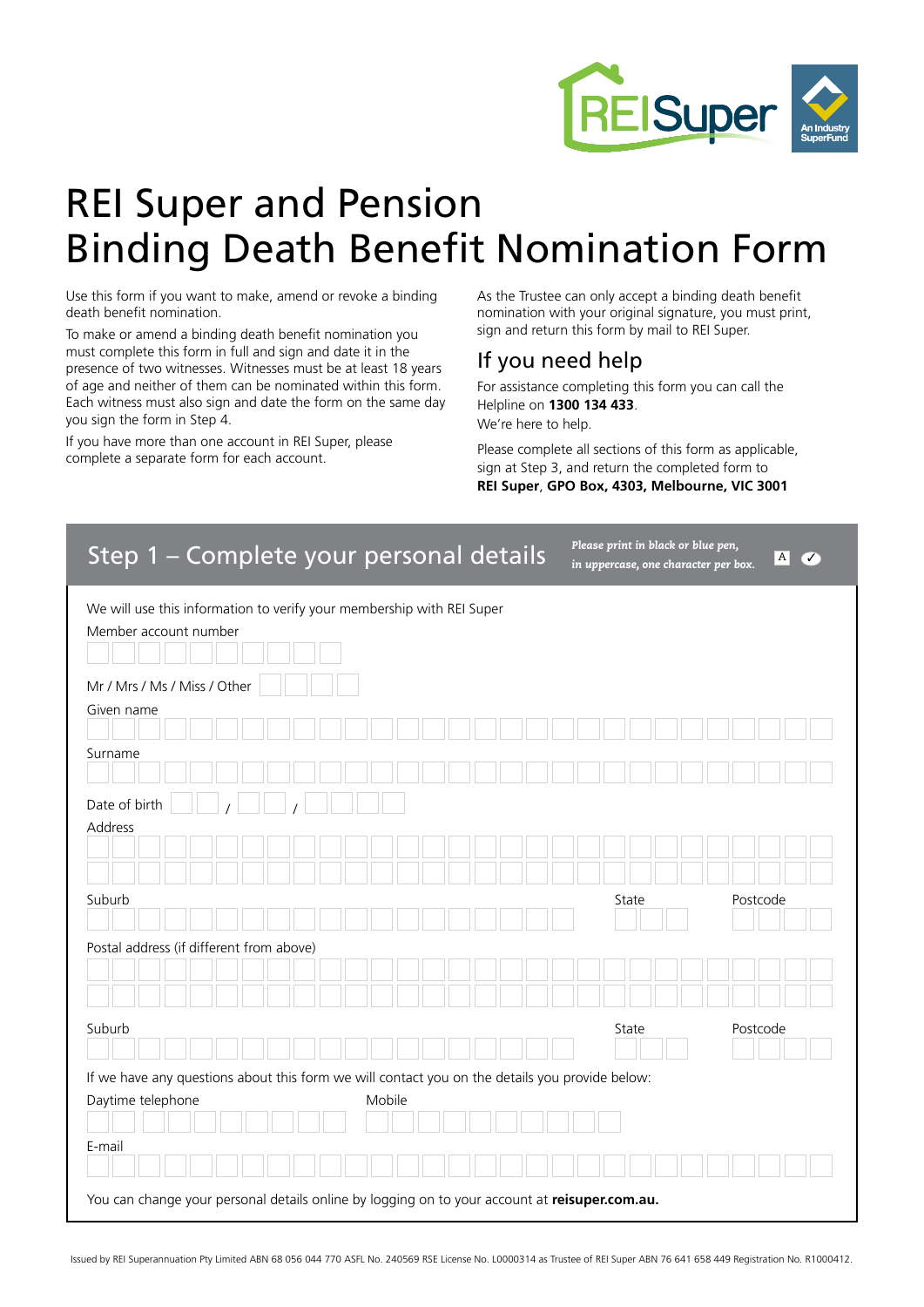

# REI Super and Pension Binding Death Benefit Nomination Form

Use this form if you want to make, amend or revoke a binding death benefit nomination.

To make or amend a binding death benefit nomination you must complete this form in full and sign and date it in the presence of two witnesses. Witnesses must be at least 18 years of age and neither of them can be nominated within this form. Each witness must also sign and date the form on the same day you sign the form in Step 4.

If you have more than one account in REI Super, please complete a separate form for each account.

As the Trustee can only accept a binding death benefit nomination with your original signature, you must print, sign and return this form by mail to REI Super.

### If you need help

For assistance completing this form you can call the Helpline on **1300 134 433**. We're here to help.

Please complete all sections of this form as applicable, sign at Step 3, and return the completed form to **REI Super**, **GPO Box, 4303, Melbourne, VIC 3001**

| Step 1 - Complete your personal details                                                                                        | Please print in black or blue pen,<br>in uppercase, one character per box. | $\boldsymbol{A}$<br>✓ |  |  |  |  |
|--------------------------------------------------------------------------------------------------------------------------------|----------------------------------------------------------------------------|-----------------------|--|--|--|--|
| We will use this information to verify your membership with REI Super<br>Member account number<br>Mr / Mrs / Ms / Miss / Other |                                                                            |                       |  |  |  |  |
| Given name                                                                                                                     |                                                                            |                       |  |  |  |  |
|                                                                                                                                |                                                                            |                       |  |  |  |  |
| Surname                                                                                                                        |                                                                            |                       |  |  |  |  |
| Date of birth                                                                                                                  |                                                                            |                       |  |  |  |  |
| Address                                                                                                                        |                                                                            |                       |  |  |  |  |
|                                                                                                                                |                                                                            |                       |  |  |  |  |
| Suburb                                                                                                                         | State                                                                      | Postcode              |  |  |  |  |
|                                                                                                                                |                                                                            |                       |  |  |  |  |
| Postal address (if different from above)                                                                                       |                                                                            |                       |  |  |  |  |
|                                                                                                                                |                                                                            |                       |  |  |  |  |
| Suburb                                                                                                                         | State                                                                      | Postcode              |  |  |  |  |
|                                                                                                                                |                                                                            |                       |  |  |  |  |
| If we have any questions about this form we will contact you on the details you provide below:                                 |                                                                            |                       |  |  |  |  |
| Daytime telephone<br>Mobile                                                                                                    |                                                                            |                       |  |  |  |  |
| E-mail                                                                                                                         |                                                                            |                       |  |  |  |  |
|                                                                                                                                |                                                                            |                       |  |  |  |  |
| You can change your personal details online by logging on to your account at reisuper.com.au.                                  |                                                                            |                       |  |  |  |  |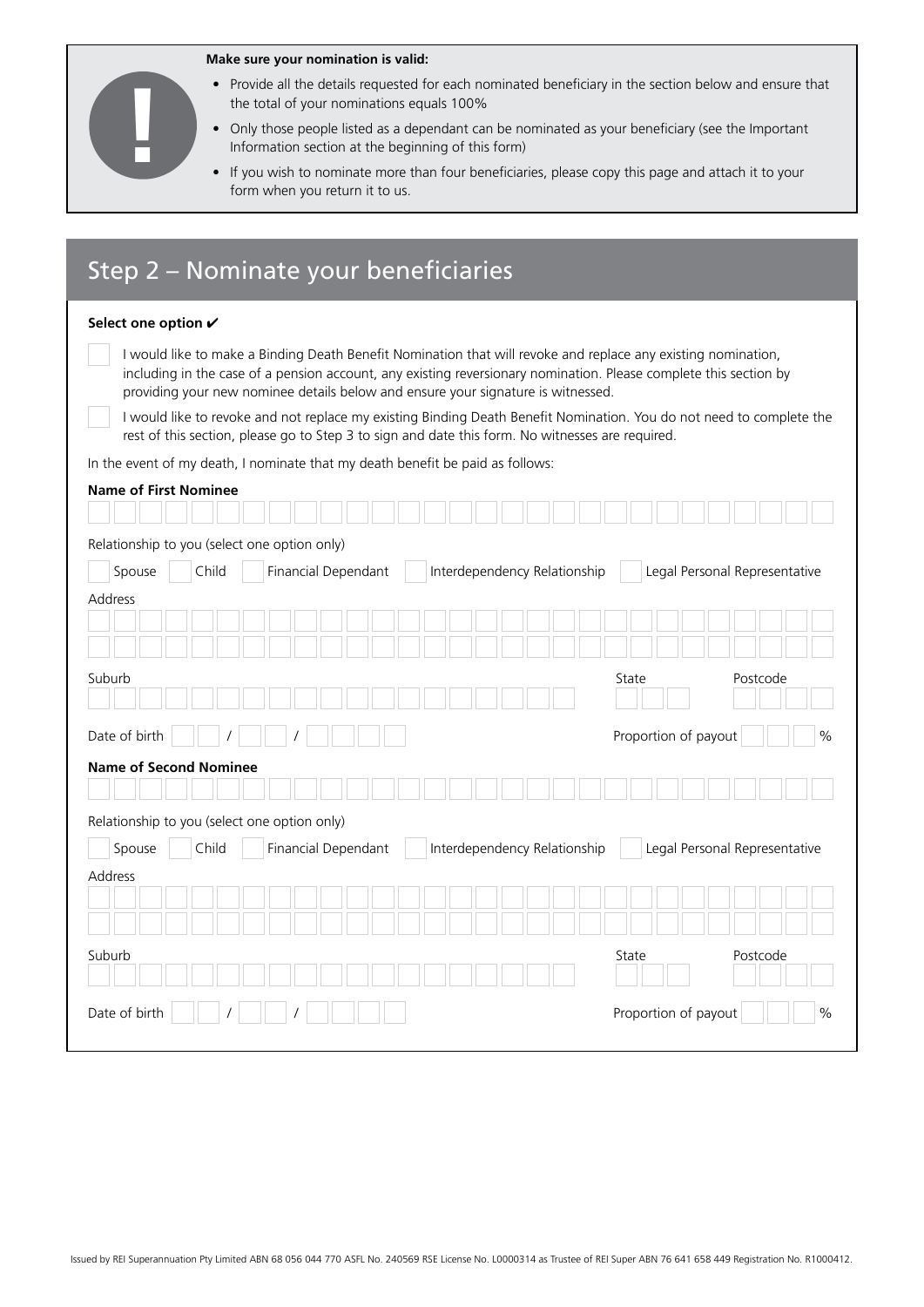|                                                                                                                                                                 |           | Make sure your nomination is valid:                                            |                                                                                                  |                                                                                                                                                                                                                                    |
|-----------------------------------------------------------------------------------------------------------------------------------------------------------------|-----------|--------------------------------------------------------------------------------|--------------------------------------------------------------------------------------------------|------------------------------------------------------------------------------------------------------------------------------------------------------------------------------------------------------------------------------------|
| Provide all the details requested for each nominated beneficiary in the section below and ensure that<br>$\bullet$<br>the total of your nominations equals 100% |           |                                                                                |                                                                                                  |                                                                                                                                                                                                                                    |
|                                                                                                                                                                 |           | Information section at the beginning of this form)                             |                                                                                                  | Only those people listed as a dependant can be nominated as your beneficiary (see the Important                                                                                                                                    |
|                                                                                                                                                                 | $\bullet$ |                                                                                |                                                                                                  | If you wish to nominate more than four beneficiaries, please copy this page and attach it to your                                                                                                                                  |
|                                                                                                                                                                 |           | form when you return it to us.                                                 |                                                                                                  |                                                                                                                                                                                                                                    |
|                                                                                                                                                                 |           |                                                                                |                                                                                                  |                                                                                                                                                                                                                                    |
|                                                                                                                                                                 |           | Step 2 – Nominate your beneficiaries                                           |                                                                                                  |                                                                                                                                                                                                                                    |
|                                                                                                                                                                 |           |                                                                                |                                                                                                  |                                                                                                                                                                                                                                    |
| Select one option ✔                                                                                                                                             |           |                                                                                |                                                                                                  |                                                                                                                                                                                                                                    |
|                                                                                                                                                                 |           |                                                                                |                                                                                                  | I would like to make a Binding Death Benefit Nomination that will revoke and replace any existing nomination,<br>including in the case of a pension account, any existing reversionary nomination. Please complete this section by |
|                                                                                                                                                                 |           |                                                                                | providing your new nominee details below and ensure your signature is witnessed.                 | I would like to revoke and not replace my existing Binding Death Benefit Nomination. You do not need to complete the                                                                                                               |
|                                                                                                                                                                 |           |                                                                                | rest of this section, please go to Step 3 to sign and date this form. No witnesses are required. |                                                                                                                                                                                                                                    |
|                                                                                                                                                                 |           | In the event of my death, I nominate that my death benefit be paid as follows: |                                                                                                  |                                                                                                                                                                                                                                    |
| <b>Name of First Nominee</b>                                                                                                                                    |           |                                                                                |                                                                                                  |                                                                                                                                                                                                                                    |
|                                                                                                                                                                 |           |                                                                                |                                                                                                  |                                                                                                                                                                                                                                    |
|                                                                                                                                                                 |           | Relationship to you (select one option only)                                   |                                                                                                  |                                                                                                                                                                                                                                    |
| Spouse                                                                                                                                                          | Child     | Financial Dependant                                                            | Interdependency Relationship                                                                     | Legal Personal Representative                                                                                                                                                                                                      |
| Address                                                                                                                                                         |           |                                                                                |                                                                                                  |                                                                                                                                                                                                                                    |
|                                                                                                                                                                 |           |                                                                                |                                                                                                  |                                                                                                                                                                                                                                    |
|                                                                                                                                                                 |           |                                                                                |                                                                                                  |                                                                                                                                                                                                                                    |
| Suburb                                                                                                                                                          |           |                                                                                |                                                                                                  | State<br>Postcode                                                                                                                                                                                                                  |
| Date of birth                                                                                                                                                   |           |                                                                                |                                                                                                  | Proportion of payout        <br>O/                                                                                                                                                                                                 |
| <b>Name of Second Nominee</b>                                                                                                                                   |           |                                                                                |                                                                                                  |                                                                                                                                                                                                                                    |
|                                                                                                                                                                 |           |                                                                                |                                                                                                  |                                                                                                                                                                                                                                    |
|                                                                                                                                                                 |           | Relationship to you (select one option only)                                   |                                                                                                  |                                                                                                                                                                                                                                    |
| Spouse                                                                                                                                                          | Child     | Financial Dependant                                                            | Interdependency Relationship                                                                     | Legal Personal Representative                                                                                                                                                                                                      |
| Address                                                                                                                                                         |           |                                                                                |                                                                                                  |                                                                                                                                                                                                                                    |
|                                                                                                                                                                 |           |                                                                                |                                                                                                  |                                                                                                                                                                                                                                    |
|                                                                                                                                                                 |           |                                                                                |                                                                                                  |                                                                                                                                                                                                                                    |
| Suburb                                                                                                                                                          |           |                                                                                |                                                                                                  | Postcode<br>State                                                                                                                                                                                                                  |
|                                                                                                                                                                 |           |                                                                                |                                                                                                  |                                                                                                                                                                                                                                    |
| Date of birth                                                                                                                                                   |           |                                                                                |                                                                                                  | Proportion of payout<br>$\%$                                                                                                                                                                                                       |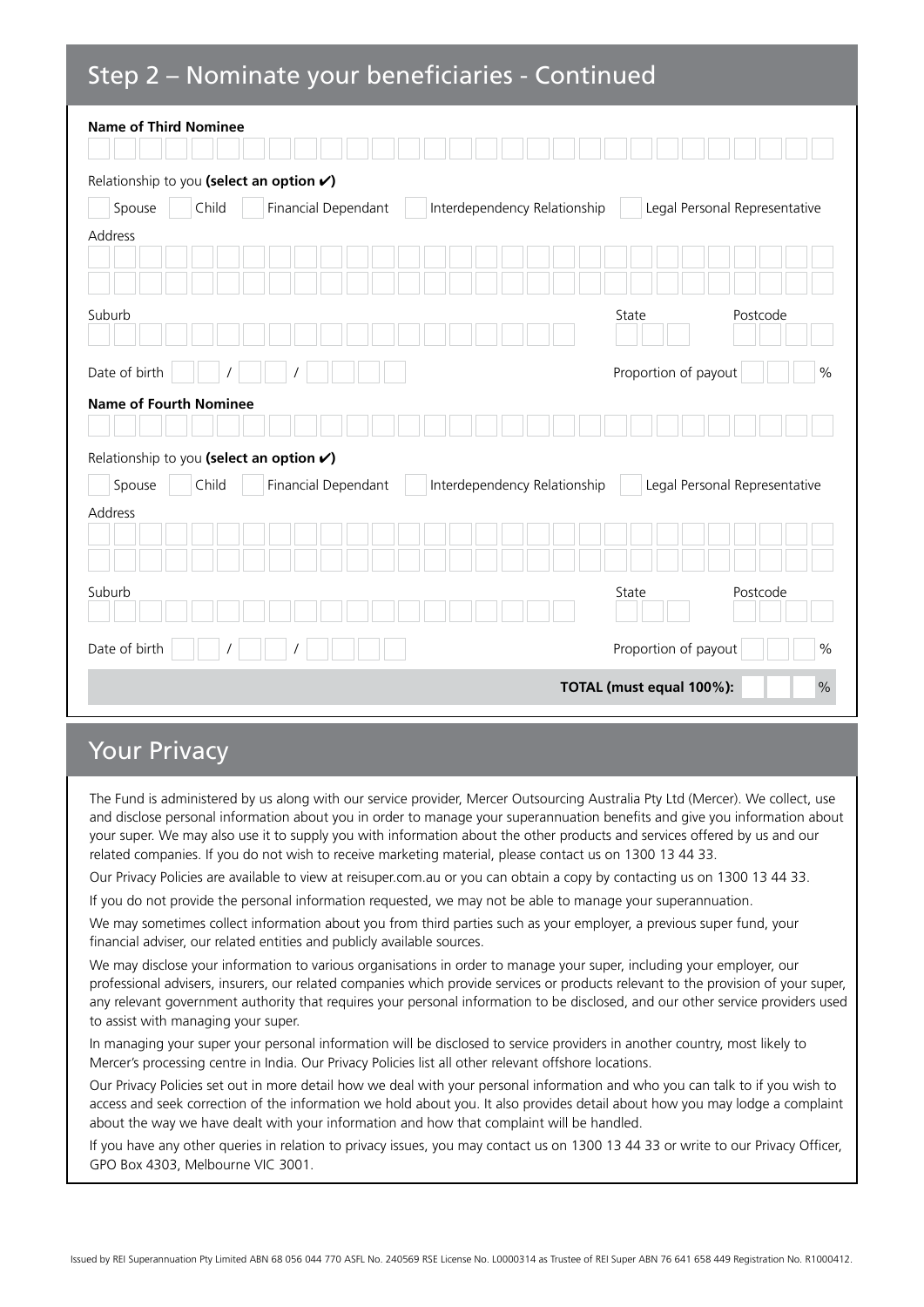## Step 2 – Nominate your beneficiaries - Continued

| <b>Name of Third Nominee</b>             |       |                     |                              |                               |  |  |
|------------------------------------------|-------|---------------------|------------------------------|-------------------------------|--|--|
| Relationship to you (select an option v) |       |                     |                              |                               |  |  |
| Spouse                                   | Child | Financial Dependant | Interdependency Relationship | Legal Personal Representative |  |  |
| Address                                  |       |                     |                              |                               |  |  |
|                                          |       |                     |                              |                               |  |  |
| Suburb                                   |       |                     |                              | State<br>Postcode             |  |  |
| Date of birth                            |       |                     |                              | Proportion of payout<br>$\%$  |  |  |
| <b>Name of Fourth Nominee</b>            |       |                     |                              |                               |  |  |
|                                          |       |                     |                              |                               |  |  |
| Relationship to you (select an option v) |       |                     |                              |                               |  |  |
| Spouse                                   | Child | Financial Dependant | Interdependency Relationship | Legal Personal Representative |  |  |
| Address                                  |       |                     |                              |                               |  |  |
|                                          |       |                     |                              |                               |  |  |
| Suburb                                   |       |                     |                              | Postcode<br>State             |  |  |
| Date of birth                            |       |                     |                              | Proportion of payout<br>$\%$  |  |  |
| $\%$<br>TOTAL (must equal 100%):         |       |                     |                              |                               |  |  |

## Your Privacy

The Fund is administered by us along with our service provider, Mercer Outsourcing Australia Pty Ltd (Mercer). We collect, use and disclose personal information about you in order to manage your superannuation benefits and give you information about your super. We may also use it to supply you with information about the other products and services offered by us and our related companies. If you do not wish to receive marketing material, please contact us on 1300 13 44 33.

Our Privacy Policies are available to view at reisuper.com.au or you can obtain a copy by contacting us on 1300 13 44 33.

If you do not provide the personal information requested, we may not be able to manage your superannuation.

We may sometimes collect information about you from third parties such as your employer, a previous super fund, your financial adviser, our related entities and publicly available sources.

We may disclose your information to various organisations in order to manage your super, including your employer, our professional advisers, insurers, our related companies which provide services or products relevant to the provision of your super, any relevant government authority that requires your personal information to be disclosed, and our other service providers used to assist with managing your super.

In managing your super your personal information will be disclosed to service providers in another country, most likely to Mercer's processing centre in India. Our Privacy Policies list all other relevant offshore locations.

Our Privacy Policies set out in more detail how we deal with your personal information and who you can talk to if you wish to access and seek correction of the information we hold about you. It also provides detail about how you may lodge a complaint about the way we have dealt with your information and how that complaint will be handled.

If you have any other queries in relation to privacy issues, you may contact us on 1300 13 44 33 or write to our Privacy Officer, GPO Box 4303, Melbourne VIC 3001.